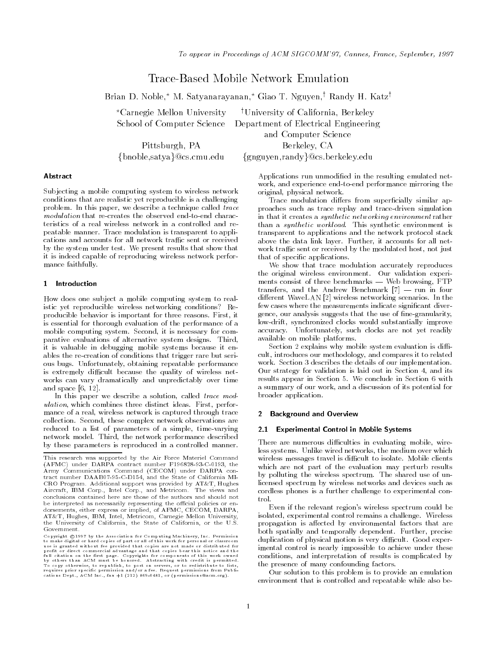# Trace-Based Mobile Network Emulation

Brian D. Noble,\* M. Satyanarayanan,\* Giao T. Nguyen,† Randy H. Katz<sup>†</sup>

\*Carnegie Mellon University tuniversity of California, Berkeley School of Computer Science Department of Electrical Engineering and Computer Science Pittsburgh, PA Berkeley, CA

fbnoble,satyag@cs.cmu.edu fgnguyen,randyg@cs.berkeley.edu

#### Abstract

Sub jecting a mobile computing system to wireless network conditions that are realistic yet reproducible is a challenging problem. In this paper, we describe a technique called trace modulation that re-creates the observed end-to-end characteristics of a real wireless network in a controlled and repeatable manner. Trace modulation is transparent to applications and accounts for all network traffic sent or received by the system under test. We present results that show that it is indeed capable of reproducing wireless network performance faithfully.

#### $\mathbf{1}$ **Introduction**

How does one sub ject a mobile computing system to realistic yet reproducible wireless networking conditions? Reproducible behavior is important for three reasons. First, it is essential for thorough evaluation of the performance of a mobile computing system. Second, it is necessary for comparative evaluations of alternative system designs. Third, it is valuable in debugging mobile systems because it enables the re-creation of conditions that trigger rare but serious bugs. Unfortunately, obtaining repeatable performance is extremely difficult because the quality of wireless networks can vary dramatically and unpredictably over time and space [6, 12].

In this paper we describe a solution, called *trace mod*ulation, which combines three distinct ideas. First, performance of a real, wireless network is captured through trace collection. Second, these complex network observations are reduced to a list of parameters of a simple, time-varying network model. Third, the network performance described by these parameters is reproduced in a controlled manner.

Applications run unmodied in the resulting emulated net work, and experience end-to-end performance mirroring the original, physical network.

Trace modulation differs from superficially similar approaches such as trace replay and trace-driven simulation in that it creates a synthetic networking environment rather than a synthetic workload. This synthetic environment is transparent to applications and the network protocol stack above the data link layer. Further, it accounts for all net work traffic sent or received by the modulated host, not just that of specic applications.

We show that trace modulation accurately reproduces the original wireless environment. Our validation experi ments consist of three benchmarks  $-$  Web browsing, FTP transfers, and the Andrew Benchmark  $[7]$  - run in four different WaveLAN  $[2]$  wireless networking scenarios. In the few cases where the measurements indicate significant divergence, our analysis suggests that the use of ne-granularity, low-drift, synchronized clocks would substantially improve accuracy. Unfortunately, such clocks are not yet readily available on mobile platforms.

Section 2 explains why mobile system evaluation is difficult, introduces our methodology, and compares it to related work. Section 3 describes the details of our implementation. Our strategy for validation is laid out in Section 4, and its results appear in Section 5. We conclude in Section 6 with a summary of our work, and a discussion of its potential for broader application.

#### 2 Background and Overview

#### 2.1 Experimental Control in Mobile Systems

There are numerous difficulties in evaluating mobile, wireless systems. Unlike wired networks, the medium over which wireless messages travel is difficult to isolate. Mobile clients which are not part of the evaluation may perturb results by polluting the wireless spectrum. The shared use of unlicensed spectrum by wireless networks and devices such as cordless phones is a further challenge to experimental control.

Even if the relevant region's wireless spectrum could be isolated, experimental control remains a challenge. Wireless propagation is affected by environmental factors that are both spatially and temporally dependent. Further, precise duplication of physical motion is very difficult. Good experimental control is nearly impossible to achieve under these conditions, and interpretation of results is complicated by the presence of many confounding factors.

Our solution to this problem is to provide an emulation environment that is controlled and repeatable while also be-

This research was supported by the Air Force Materiel Command (AFMC) under DARPA contract number F196828-93-C-0193, the Army Communications Command (CECOM) under DARPA con-CRO Program. Additional support was provided by AT&T, Hughes Aircraft, IBM Corp., Intel Corp., and Metricom. The views and conclusions contained here are those of the authors and should not be interpreted as necessarily representing the official policies or endorsements, either express or implied, of AFMC, CECOM, DARPA, AT&T, Hughes, IBM, Intel, Metricom, Carnegie Mellon University, the University of California, the State of California, or the U.S. Government.<br>Copyright ©1997 by the Association for Computing Machinery, Inc. Permission

to make digital or hard copies of part or all of this work for personal or classroom<br>use is granted without fee provided that copies are not made or distributed for<br>profit or direct commercial advantage and that copies bea cations Dept., ACM Inc., fax +1 (212) 869-0481, or (permissions@acm.org).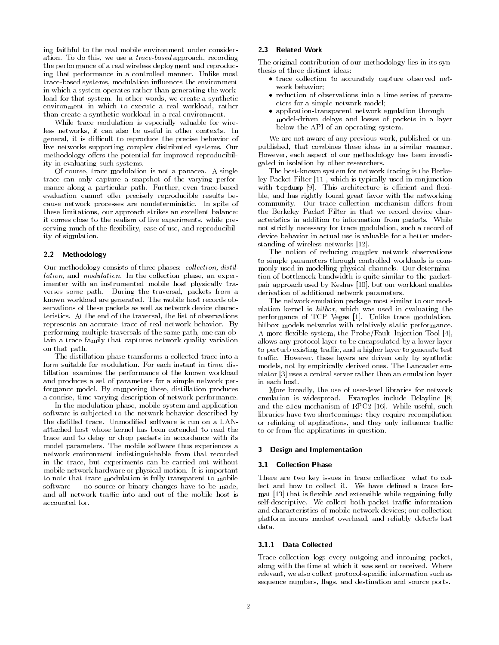ing faithful to the real mobile environment under consideration. To do this, we use a trace-based approach, recording the performance of a real wireless deployment and reproducing that performance in a controlled manner. Unlike most trace-based systems, modulation influences the environment in which a system operates rather than generating the workload for that system. In other words, we create a synthetic environment in which to execute a real workload, rather than create a synthetic workload in a real environment.

While trace modulation is especially valuable for wireless networks, it can also be useful in other contexts. In general, it is difficult to reproduce the precise behavior of live networks supporting complex distributed systems. Our methodology offers the potential for improved reproducibility in evaluating such systems.

Of course, trace modulation is not a panacea. A single trace can only capture a snapshot of the varying performance along a particular path. Further, even trace-based evaluation cannot offer precisely reproducible results because network processes are nondeterministic. In spite of these limitations, our approach strikes an excellent balance: it comes close to the realism of live experiments, while preserving much of the flexibility, ease of use, and reproducibility of simulation.

#### 2.2 Methodology

Our methodology consists of three phases: collection, distillation, and modulation. In the collection phase, an experimenter with an instrumented mobile host physically tra verses some path. During the traversal, packets from a known workload are generated. The mobile host records observations of these packets as well as network device characteristics. At the end of the traversal, the list of observations represents an accurate trace of real network behavior. By performing multiple traversals of the same path, one can obtain a trace family that captures network quality variation on that path.

The distillation phase transforms a collected trace into a form suitable for modulation. For each instant in time, distillation examines the performance of the known workload and produces a set of parameters for a simple network performance model. By composing these, distillation produces a concise, time-varying description of network performance.

In the modulation phase, mobile system and application software is sub jected to the network behavior described by the distilled trace. Unmodied software is run on a LANattached host whose kernel has been extended to read the trace and to delay or drop packets in accordance with its model parameters. The mobile software thus experiences a network environment indistinguishable from that recorded in the trace, but experiments can be carried out without mobile network hardware or physical motion. It is important to note that trace modulation is fully transparent to mobile  $softmax$  = no source or binary changes have to be made, and all network traffic into and out of the mobile host is accounted for.

### 2.3 Related Work

The original contribution of our methodology lies in its synthesis of three distinct ideas:

- $\bullet$  trace collection to accurately capture observed network behavior: work behavior; which be havior; which be havior; which behavior; which behavior; which behavior; which behavior
- reduction of observations into a time series of parameters for a simple network model;
- application-transparent network emulation through model-driven delays and losses of packets in a layer below the API of an operating system.

We are not aware of any previous work, published or unpublished, that combines these ideas in a similar manner. However, each aspect of our methodology has been investigated in isolation by other researchers.

The best-known system for network tracing is the Berkeley Packet Filter [11], which is typically used in conjunction with tcpdump [9]. This architecture is efficient and flexible, and has rightly found great favor with the networking community. Our trace collection mechanism differs from the Berkeley Packet Filter in that we record device characteristics in addition to information from packets. While not strictly necessary for trace modulation, such a record of device behavior in actual use is valuable for a better understanding of wireless networks [12].

The notion of reducing complex network observations to simple parameters through controlled workloads is commonly used in modelling physical channels. Our determination of bottleneck bandwidth is quite similar to the packetpair approach used by Keshav [10], but our workload enables derivation of additional network parameters.

The network emulation package most similar to our modulation kernel is hitbox, which was used in evaluating the performance of TCP Vegas [1]. Unlike trace modulation, hitbox models networks with relatively static performance. A more flexible system, the Probe/Fault Injection Tool [4], allows any protocol layer to be encapsulated by a lower layer to perturb existing traffic, and a higher layer to generate test traffic. However, these layers are driven only by synthetic models, not by empirically derived ones. The Lancaster emulator [3] uses a central server rather than an emulation layer in each host.

More broadly, the use of user-level libraries for network emulation is widespread. Examples include Delayline [8] and the slow mechanism of RPC2 [16]. While useful, such libraries have two shortcomings: they require recompilation or relinking of applications, and they only influence traffic to or from the applications in question.

#### 3 Design and Implementation

#### 3.1 Collection Phase

There are two key issues in trace collection: what to collect and how to collect it. We have defined a trace format [13] that is flexible and extensible while remaining fully self-descriptive. We collect both packet traffic information and characteristics of mobile network devices; our collection platform incurs modest overhead, and reliably detects lost data.

#### 3.1.1 Data Collected

Trace collection logs every outgoing and incoming packet, along with the time at which it was sent or received. Where relevant, we also collect protocol-specific information such as sequence numbers, flags, and destination and source ports.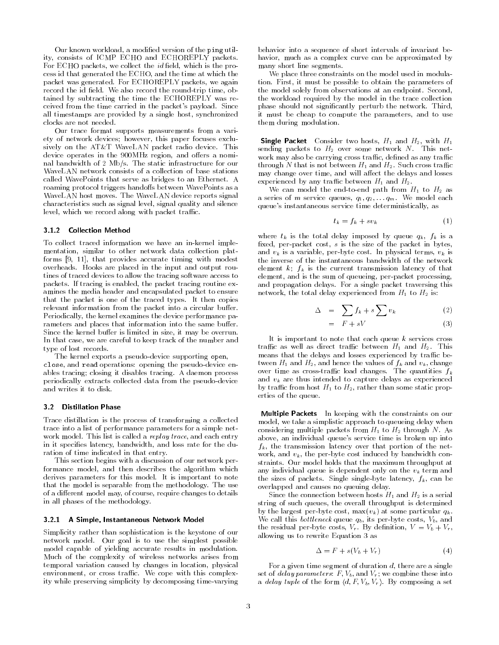Our known workload, a modied version of the ping utility, consists of ICMP ECHO and ECHOREPLY packets. For ECHO packets, we collect the  $id$  field, which is the process id that generated the ECHO, and the time at which the packet was generated. For ECHOREPLY packets, we again record the id field. We also record the round-trip time, obtained by subtracting the time the ECHOREPLY was received from the time carried in the packet's payload. Since all timestamps are provided by a single host, synchronized clocks are not needed.

Our trace format supports measurements from a variety of network devices; however, this paper focuses exclusively on the AT&T WaveLAN packet radio device. This device operates in the 900MHz region, and offers a nominal bandwidth of 2 Mb/s. The static infrastructure for our WaveLAN network consists of a collection of base stations called WavePoints that serve as bridges to an Ethernet. A roaming protocol triggers handoffs between WavePoints as a WaveLAN host moves. The WaveLAN device reports signal characteristics such as signal level, signal quality and silence level, which we record along with packet traffic.

To collect traced information we have an in-kernel imple mentation, similar to other network data collection platforms [9, 11], that provides accurate timing with modest overheads. Hooks are placed in the input and output routines of traced devices to allow the tracing software access to packets. If tracing is enabled, the packet tracing routine examines the media header and encapsulated packet to ensure that the packet is one of the traced types. It then copies relevant information from the packet into a circular buffer. Periodically, the kernel examines the device performance parameters and places that information into the same buffer. Since the kernel buffer is limited in size, it may be overrun. In that case, we are careful to keep track of the number and type of lost records.

The kernel exports a pseudo-device supporting open, close, and read operations: opening the pseudo-device enables tracing; closing it disables tracing. A daemon process periodically extracts collected data from the pseudo-device and writes it to disk.

#### 3.2 Distillation Phase

Trace distillation is the process of transforming a collected trace into a list of performance parameters for a simple net work model. This list is called a *replay trace*, and each entry in it species latency, bandwidth, and loss rate for the duration of time indicated in that entry.

This section begins with a discussion of our network performance model, and then describes the algorithm which derives parameters for this model. It is important to note that the model is separable from the methodology. The use of a different model may, of course, require changes to details in all phases of the methodology.

#### 3.2.1 A Simple, Instantaneous Network Model

Simplicity rather than sophistication is the keystone of our network model. Our goal is to use the simplest possible model capable of yielding accurate results in modulation. Much of the complexity of wireless networks arises from temporal variation caused by changes in location, physical environment, or cross traffic. We cope with this complexity while preserving simplicity by decomposing time-varying behavior into a sequence of short intervals of invariant behavior, much as a complex curve can be approximated by many short line segments.

We place three constraints on the model used in modulation. First, it must be possible to obtain the parameters of the model solely from observations at an endpoint. Second, the workload required by the model in the trace collection phase should not signicantly perturb the network. Third, it must be cheap to compute the parameters, and to use them during modulation.

**Single Packet** Consider two hosts,  $H_1$  and  $H_2$ , with  $H_1$ sending packets to  $H_2$  over some network N. This network may also be carrying cross traffic, defined as any traffic through N that is not between  $H_1$  and  $H_2$ . Such cross traffic may change over time, and will affect the delays and losses experienced by any traffic between  $H_1$  and  $H_2$ .

We can model the end-to-end path from  $H_1$  to  $H_2$  as a series of m service queues,  $q_1, q_2, \ldots, q_m$ . We model each queue's instantaneous service time deterministically, as

$$
t_k = f_k + s v_k \tag{1}
$$

where  $t_k$  is the total delay imposed by queue  $q_k$ ,  $f_k$  is a fixed, per-packet cost,  $s$  is the size of the packet in bytes, and  $v_k$  is a variable, per-byte cost. In physical terms,  $v_k$  is the inverse of the instantaneous bandwidth of the network element  $k$ ;  $f_k$  is the current transmission latency of that element, and is the sum of queueing, per-packet processing, and propagation delays. For a single packet traversing this network, the total delay experienced from  $H_1$  to  $H_2$  is:

$$
\Delta = \sum F_k + s \sum v_k \tag{2}
$$

$$
= F + sV \tag{3}
$$

It is important to note that each queue  $k$  services cross traffic as well as direct traffic between  $H_1$  and  $H_2$ . This means that the delays and losses experienced by traffic between  $H_1$  and  $H_2$ , and hence the values of  $f_k$  and  $v_k$ , change over time as cross-traffic load changes. The quantities  $f_k$ and  $v_k$  are thus intended to capture delays as experienced by traffic from host  $H_1$  to  $H_2$ , rather than some static properties of the queue.

Multiple Packets In keeping with the constraints on our model, we take a simplistic approach to queueing delay when considering multiple packets from  $H_1$  to  $H_2$  through N. As above, an individual queue's service time is broken up into  $f_k$ , the transmission latency over that portion of the network, and  $v_k$ , the per-byte cost induced by bandwidth constraints. Our model holds that the maximum throughput at any individual queue is dependent only on the  $v_k$  term and the sizes of packets. Single single-byte latency,  $f_k$ , can be overlapped and causes no queuing delay.

Since the connection between hosts  $H_1$  and  $H_2$  is a serial string of such queues, the overall throughput is determined by the largest per-byte cost,  $max(v_k)$  at some particular  $q_k$ . We call this *bottleneck* queue  $q_b$ , its per-byte costs,  $V_b$ , and the residual per-byte costs,  $V_r$ . By definition,  $V = V_b + V_r$ , allowing us to rewrite Equation 3 as

$$
\Delta = F + s(V_b + V_r) \tag{4}
$$

For a given time segment of duration  $d$ , there are a single set of *delay parameters:*  $F, V_b$ , and  $V_r$ ; we combine these into a *delay tuple* of the form  $\langle d, F, V_b, V_r \rangle$ . By composing a set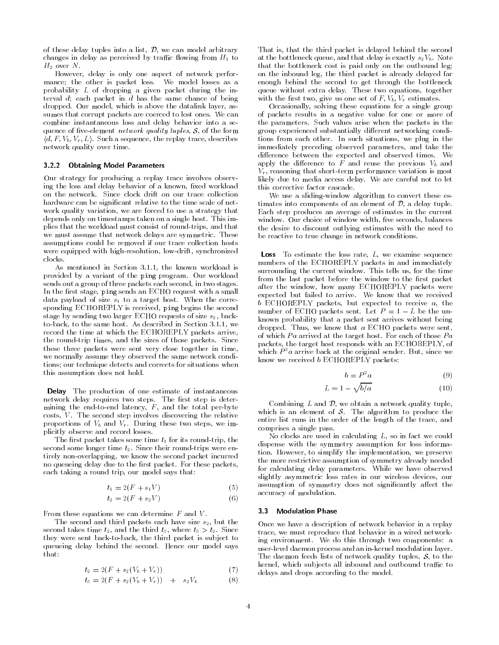of these delay tuples into a list,  $\mathcal{D}$ , we can model arbitrary changes in delay as perceived by traffic flowing from  $H_1$  to  $H_2$  over N.

However, delay is only one aspect of network performance; the other is packet loss. We model losses as a probability <sup>L</sup> of dropping a given packet during the interval  $d$ ; each packet in  $d$  has the same chance of being dropped. Our model, which is above the datalink layer, assumes that corrupt packets are coerced to lost ones. We can combine instantaneous loss and delay behavior into a sequence of five-element network quality tuples,  $S$ , of the form  $\langle d, F, V_b, V_r, L \rangle$ . Such a sequence, the replay trace, describes network quality over time.

#### 3.2.2 Obtaining Model Parameters

Our strategy for producing a replay trace involves observing the loss and delay behavior of a known, fixed workload on the network. Since clock drift on our trace collection hardware can be signicant relative to the time scale of net work quality variation, we are forced to use a strategy that depends only on timestamps taken on a single host. This implies that the workload must consist of round-trips, and that we must assume that network delays are symmetric. These assumptions could be removed if our trace collection hosts were equipped with high-resolution, low-drift, synchronized clocks.

As mentioned in Section 3.1.1, the known workload is provided by a variant of the ping program. Our workload sends out a group of three packets each second, in two stages. In the first stage, ping sends an ECHO request with a small data payload of size  $s_1$  to a target host. When the corresponding ECHOREPLY is received, ping begins the second stage by sending two larger ECHO requests of size  $s_2$ , backto-back, to the same host. As described in Section 3.1.1, we record the time at which the ECHOREPLY packets arrive, the round-trip times, and the sizes of those packets. Since these three packets were sent very close together in time, we normally assume they observed the same network conditions; our technique detects and corrects for situations when this assumption does not hold.

Delay The production of one estimate of instantaneous network delay requires two steps. The requires two steps. The requires two step is determined by the requires  $\mathbf{r}_i$ mining the end-to-end latency, <sup>F</sup> , and the total per-byte  $costs, V$ . The second step involves discovering the relative proportions of  $V_b$  and  $V_r$ . During these two steps, we implicitly observe and record losses.

The first packet takes some time  $t_1$  for its round-trip, the second some longer time  $t_2$ . Since their round-trips were entirely non-overlapping, we know the second packet incurred no queueing delay due to the first packet. For these packets, each taking a round trip, our model says that:

$$
t_1 = 2(F + s_1 V) \tag{5}
$$

$$
t_2 = 2(F + s_2 V) \tag{6}
$$

From these equations we can determine  $F$  and  $V$ .

The second and third packets each have size  $s_2$ , but the second takes time  $t_2$ , and the third  $t_3$ , where  $t_3 > t_2$ . Since they were sent back-to-back, the third packet is subject to queueing delay behind the second. Hence our model says that:

$$
t_2 = 2(F + s_2(V_b + V_r))
$$
\n(7)

$$
t_3 = 2(F + s_2(V_b + V_r)) + s_2V_b \tag{8}
$$

That is, that the third packet is delayed behind the second at the bottleneck queue, and that delay is exactly  $s_2V_b$ . Note that the bottleneck cost is paid only on the outbound leg; on the inbound leg, the third packet is already delayed far enough behind the second to get through the bottleneck queue without extra delay. These two equations, together with the first two, give us one set of  $F, V_b, V_r$  estimates.

Occasionally, solving these equations for a single group of packets results in a negative value for one or more of the parameters. Such values arise when the packets in the group experienced substantially different networking conditions from each other. In such situations, we plug in the immediately preceding observed parameters, and take the difference between the expected and observed times. We apply the difference to F and reuse the previous  $V<sub>b</sub>$  and  $V_r$ , reasoning that short-term performance variation is most likely due to media access delay. We are careful not to let this corrective factor cascade.

We use a sliding-window algorithm to convert these estimates into components of an element of  $\mathcal{D}$ , a delay tuple. Each step produces an average of estimates in the current window. Our choice of window width, five seconds, balances the desire to discount outlying estimates with the need to be reactive to true change in network conditions.

**Loss** To estimate the loss rate,  $L$ , we examine sequence numbers of the ECHOREPLY packets in and immediately surrounding the current window. This tells us, for the time from the last packet before the window to the first packet after the window, how many ECHOREPLY packets were expected but failed to arrive. We know that we received  $b$  ECHOREPLY packets, but expected to receive  $a$ , the number of ECHO packets sent. Let  $P = 1 - L$  be the unknown probability that a packet sent arrives without being dropped. Thus, we know that <sup>a</sup> ECHO packets were sent, of which  $Pa$  arrived at the target host. For each of those  $Pa$ packets, the target host responds with an ECHOREPLY, of which  $P^2a$  arrive back at the original sender. But, since we know we received <sup>b</sup> ECHOREPLY packets:

$$
b = P^2 a \tag{9}
$$

$$
L = 1 - \sqrt{b/a} \tag{10}
$$

Combining  $L$  and  $\mathcal{D}$ , we obtain a network quality tuple, which is an element of  $S$ . The algorithm to produce the entire list runs in the order of the length of the trace, and comprises a single pass.

No clocks are used in calculating L, so in fact we could dispense with the symmetry assumption for loss information. However, to simplify the implementation, we preserve the more restrictive assumption of symmetry already needed for calculating delay parameters. While we have observed slightly asymmetric loss rates in our wireless devices, our assumption of symmetry does not significantly affect the accuracy of modulation.

#### 3.3 Modulation Phase

Once we have a description of network behavior in a replay trace, we must reproduce that behavior in a wired networking environment. We do this through two components: a user-level daemon process and an in-kernel modulation layer. The daemon feeds lists of network quality tuples,  $S$ , to the kernel, which subjects all inbound and outbound traffic to delays and drops according to the model.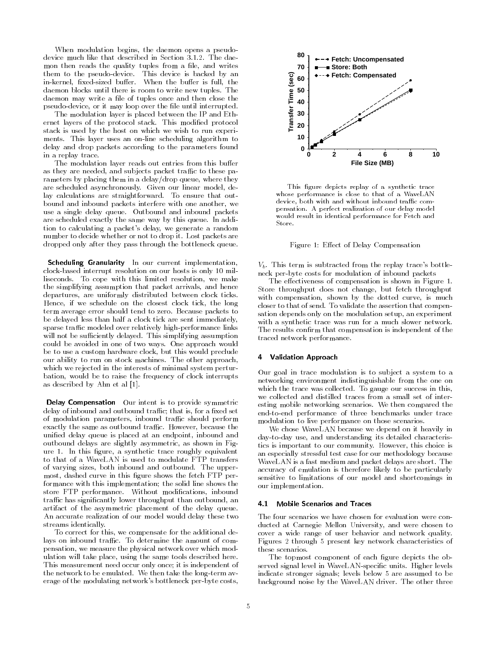When modulation begins, the daemon opens a pseudodevice much like that described in Section 3.1.2. The daemon then reads the quality tuples from a file, and writes them to the pseudo-device. This device is backed by an in-kernel, fixed-sized buffer. When the buffer is full, the daemon blocks until there is room to write new tuples. The daemon may write a file of tuples once and then close the pseudo-device, or it may loop over the file until interrupted.

The modulation layer is placed between the IP and Ethernet layers of the protocol stack. This modied protocol stack is used by the host on which we wish to run experi ments. This layer uses an on-line scheduling algorithm to delay and drop packets according to the parameters found in a replay trace.

The modulation layer reads out entries from this buffer as they are needed, and subjects packet traffic to these parameters by placing them in a delay/drop queue, where they are scheduled asynchronously. Given our linear model, delay calculations are straightforward. To ensure that outbound and inbound packets interfere with one another, we use a single delay queue. Outbound and inbound packets are scheduled exactly the same way by this queue. In addition to calculating a packet's delay, we generate a random number to decide whether or not to drop it. Lost packets are dropped only after they pass through the bottleneck queue.

Scheduling Granularity In our current implementation, clock-based interrupt resolution on our hosts is only 10 milliseconds. To cope with this limited resolution, we make the simplifying assumption that packet arrivals, and hence departures, are uniformly distributed between clock ticks. Hence, if we schedule on the closest clock tick, the long term average error should tend to zero. Because packets to be delayed less than half a clock tick are sent immediately, sparse traffic modeled over relatively high-performance links will not be sufficiently delayed. This simplifying assumption could be avoided in one of two ways. One approach would be to use a custom hardware clock, but this would preclude our ability to run on stock machines. The other approach, which we rejected in the interests of minimal system perturbation, would be to raise the frequency of clock interrupts as described by Ahn et al [1].

Delay Compensation Our intent is to provide symmetric delay of inbound and outbound traffic; that is, for a fixed set of modulation parameters, inbound traffic should perform exactly the same as outbound traffic. However, because the unified delay queue is placed at an endpoint, inbound and outbound delays are slightly asymmetric, as shown in Figure 1. In this figure, a synthetic trace roughly equivalent to that of a WaveLAN is used to modulate FTP transfers of varying sizes, both inbound and outbound. The uppermost, dashed curve in this figure shows the fetch FTP performance with this implementation; the solid line shows the store FTP performance. Without modications, inbound traffic has significantly lower throughput than outbound, an artifact of the asymmetric placement of the delay queue. An accurate realization of our model would delay these two streams identically.

To correct for this, we compensate for the additional delays on inbound traffic. To determine the amount of compensation, we measure the physical network over which modulation will take place, using the same tools described here. This measurement need occur only once; it is independent of the network to be emulated. We then take the long-term average of the modulating network's bottleneck per-byte costs,



This figure depicts replay of a synthetic trace whose performance is close to that of a WaveLAN device, both with and without inbound traffic compensation. A perfect realization of our delay model would result in identical performance for Fetch and Store.

Figure 1: Effect of Delay Compensation

 $V<sub>b</sub>$ . This term is subtracted from the replay trace's bottleneck per-byte costs for modulation of inbound packets

The effectiveness of compensation is shown in Figure 1. Store throughput does not change, but fetch throughput with compensation, shown by the dotted curve, is much closer to that of send. To validate the assertion that compensation depends only on the modulation setup, an experiment with a synthetic trace was run for a much slower network. The results confirm that compensation is independent of the traced network performance.

## 4 Validation Approach

Our goal in trace modulation is to subject a system to a networking environment indistinguishable from the one on which the trace was collected. To gauge our success in this, we collected and distilled traces from a small set of interesting mobile networking scenarios. We then compared the end-to-end performance of three benchmarks under trace modulation to live performance on those scenarios.

We chose WaveLAN because we depend on it heavily in day-to-day use, and understanding its detailed characteristics is important to our community. However, this choice is an especially stressful test case for our methodology because WaveLAN is a fast medium and packet delays are short. The accuracy of emulation is therefore likely to be particularly sensitive to limitations of our model and shortcomings in our implementation.

#### 4.1 Mobile Scenarios and Traces

The four scenarios we have chosen for evaluation were con ducted at Carnegie Mellon University, and were chosen to cover a wide range of user behavior and network quality. Figures 2 through 5 present key network characteristics of these scenarios.

The topmost component of each figure depicts the observed signal level in WaveLAN-specific units. Higher levels indicate stronger signals; levels below 5 are assumed to be background noise by the WaveLAN driver. The other three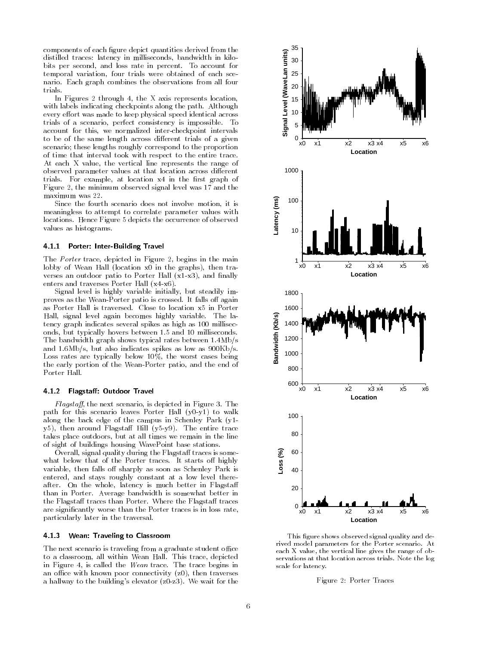components of each figure depict quantities derived from the distilled traces: latency in milliseconds, bandwidth in kilobits per second, and loss rate in percent. To account for temporal variation, four trials were obtained of each scenario. Each graph combines the observations from all four trials.

In Figures 2 through 4, the X axis represents location, with labels indicating checkpoints along the path. Although every effort was made to keep physical speed identical across trials of a scenario, perfect consistency is impossible. To account for this, we normalized inter-checkpoint intervals to be of the same length across different trials of a given scenario; these lengths roughly correspond to the proportion of time that interval took with respect to the entire trace. At each X value, the vertical line represents the range of observed parameter values at that location across different trials. For example, at location x4 in the first graph of Figure 2, the minimum observed signal level was 17 and the maximum was 22.

Since the fourth scenario does not involve motion, it is meaningless to attempt to correlate parameter values with locations. Hence Figure 5 depicts the occurrence of observed values as histograms.

### 4.1.1 Porter: Inter-Building Travel

The Porter trace, depicted in Figure 2, begins in the main lobby of Wean Hall (location x0 in the graphs), then tra verses an outdoor patio to Porter Hall  $(x1-x3)$ , and finally enters and traverses Porter Hall (x4-x6).

Signal level is highly variable initially, but steadily improves as the Wean-Porter patio is crossed. It falls off again as Porter Hall is traversed. Close to location x5 in Porter Hall, signal level again becomes highly variable. The latency graph indicates several spikes as high as 100 milliseconds, but typically hovers between 1.5 and 10 milliseconds. The bandwidth graph shows typical rates between 1.4Mb/s and  $1.6 \text{Mb/s}$ , but also indicates spikes as low as  $900 \text{Kb/s}$ . Loss rates are typically below 10%, the worst cases being the early portion of the Wean-Porter patio, and the end of Porter Hall.

#### 4.1.2 Flagstaff: Outdoor Travel

 $Flagstaff$ , the next scenario, is depicted in Figure 3. The path for this scenario leaves Porter Hall (y0-y1) to walk along the back edge of the campus in Schenley Park (y1  $y5$ ), then around Flagstaff Hill ( $y5-y9$ ). The entire trace takes place outdoors, but at all times we remain in the line of sight of buildings housing WavePoint base stations.

Overall, signal quality during the Flagstaff traces is somewhat below that of the Porter traces. It starts off highly variable, then falls off sharply as soon as Schenley Park is entered, and stays roughly constant at a low level thereafter. On the whole, latency is much better in Flagsta than in Porter. Average bandwidth is somewhat better in the Flagstaff traces than Porter. Where the Flagstaff traces are signicantly worse than the Porter traces is in loss rate, particularly later in the traversal.

#### 4.1.3 Wean: Traveling to Classroom

The next scenario is traveling from a graduate student office to a classroom, all within Wean Hall. This trace, depicted in Figure 4, is called the Wean trace. The trace begins in an office with known poor connectivity  $(z0)$ , then traverses a hallway to the building's elevator (z0-z3). We wait for the



This figure shows observed signal quality and derived model parameters for the Porter scenario. At each X value, the vertical line gives the range of observations at that location across trials. Note the log scale for latency.

Figure 2: Porter Traces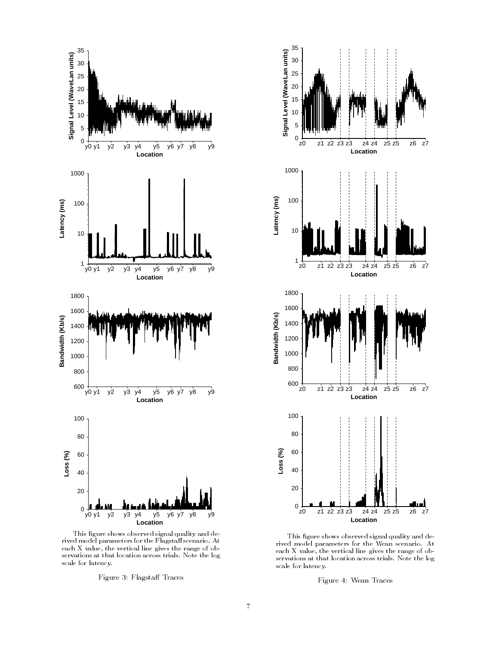

This figure shows observed signal quality and derived model parameters for the Flagstaff scenario. At each X value, the vertical line gives the range of observations at that location across trials. Note the log scale for latency.

Figure 3: Flagstaff Traces



This figure shows observed signal quality and derived model parameters for the Wean scenario. At each X value, the vertical line gives the range of observations at that location across trials. Note the log scale for latency.

Figure 4: Wean Traces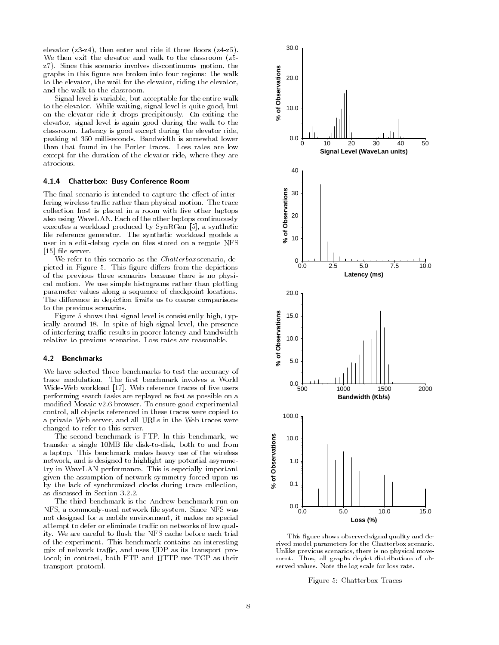elevator  $(z3-z4)$ , then enter and ride it three floors  $(z4-z5)$ . We then exit the elevator and walk to the classroom (z5 z7). Since this scenario involves discontinuous motion, the graphs in this gure are broken into four regions: the walk to the elevator, the wait for the elevator, riding the elevator, and the walk to the classroom.

Signal level is variable, but acceptable for the entire walk to the elevator. While waiting, signal level is quite good, but on the elevator ride it drops precipitously. On exiting the elevator, signal level is again good during the walk to the classroom. Latency is good except during the elevator ride, peaking at 350 milliseconds. Bandwidth is somewhat lower than that found in the Porter traces. Loss rates are low except for the duration of the elevator ride, where they are atrocious.

#### 4.1.4 Chatterbox: Busy Conference Room

The final scenario is intended to capture the effect of interfering wireless traffic rather than physical motion. The trace collection host is placed in a room with five other laptops also using WaveLAN. Each of the other laptops continuously executes a workload produced by SynRGen [5], a synthetic file reference generator. The synthetic workload models a user in a edit-debug cycle on files stored on a remote NFS [15] file server.

We refer to this scenario as the *Chatterbox* scenario, depicted in Figure 5. This figure differs from the depictions of the previous three scenarios because there is no physical motion. We use simple histograms rather than plotting parameter values along a sequence of checkpoint locations. The difference in depiction limits us to coarse comparisons to the previous scenarios. to the previous scenarios.

Figure 5 shows that signal level is consistently high, typically around 18. In spite of high signal level, the presence of interfering traffic results in poorer latency and bandwidth relative to previous scenarios. Loss rates are reasonable.

#### 4.2 Benchmarks

We have selected three benchmarks to test the accuracy of trace modulation. The first benchmark involves a World Wide-Web workload [17]. Web reference traces of five users performing search tasks are replayed as fast as possible on a modied Mosaic v2.6 browser. To ensure good experimental control, all ob jects referenced in these traces were copied to a private Web server, and all URLs in the Web traces were changed to refer to this server.

The second benchmark is FTP. In this benchmark, we transfer a single 10MB file disk-to-disk, both to and from a laptop. This benchmark makes heavy use of the wireless network, and is designed to highlight any potential asymmetry in WaveLAN performance. This is especially important given the assumption of network symmetry forced upon us by the lack of synchronized clocks during trace collection, as discussed in Section 3.2.2.

The third benchmark is the Andrew benchmark run on NFS, a commonly-used network file system. Since NFS was not designed for a mobile environment, it makes no special attempt to defer or eliminate traffic on networks of low quality. We are careful to flush the NFS cache before each trial of the experiment. This benchmark contains an interesting mix of network traffic, and uses UDP as its transport protocol; in contrast, both FTP and HTTP use TCP as their transport protocol.



This figure shows observed signal quality and derived model parameters for the Chatterbox scenario. Unlike previous scenarios, there is no physical move ment. Thus, all graphs depict distributions of observed values. Note the log scale for loss rate.

Figure 5: Chatterbox Traces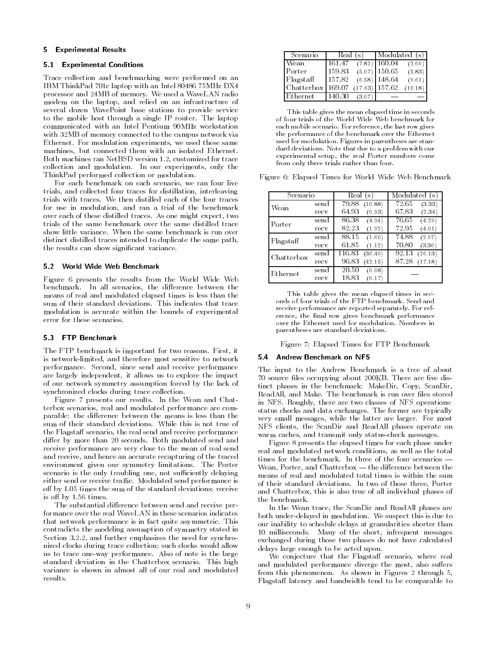### 5 Experimental Results

#### 5.1 Experimental Conditions 5.1 Experimental Conditions

Trace collection and benchmarking were performed on an IBM ThinkPad 701c laptop with an Intel 80486 75MHz DX4 processor and 24MB of memory. We used a WaveLAN radio modem on the laptop, and relied on an infrastructure of several dozen WavePoint base stations to provide service to the mobile host through a single IP router. The laptop communicated with an Intel Pentium 90MHz workstation with 32MB of memory connected to the campus network via Ethernet. For modulation experiments, we used these same machines, but connected them with an isolated Ethernet. Both machines ran NetBSD version 1.2, customized for trace collection and modulation. In our experiments, only the ThinkPad performed collection or modulation.

For each benchmark on each scenario, we ran four live trials, and collected four traces for distillation, interleaving trials with traces. We then distilled each of the four traces for use in modulation, and ran a trial of the benchmark over each of these distilled traces. As one might expect, two trials of the same benchmark over the same distilled trace show little variance. When the same benchmark is run over distinct distilled traces intended to duplicate the same path, the results can show signicant variance.

#### 5.2 World Wide Web Benchmark

Figure 6 presents the results from the World Wide Web benchmark. In all scenarios, the difference between the means of real and modulated elapsed times is less than the sum of their standard deviations. This indicates that trace modulation is accurate within the bounds of experimental error for these scenarios.

### 5.3 FTP Benchmark

The FTP benchmark is important for two reasons. First, it is network-limited, and therefore most sensitive to network performance. Second, since send and receive performance are largely independent, it allows us to explore the impact of our network symmetry assumption forced by the lack of synchronized clocks during trace collection.

Figure 7 presents our results. In the Wean and Chatterbox scenarios, real and modulated performance are comparable: the difference between the means is less than the sum of their standard deviations. While this is not true of the Flagstaff scenario, the real send and receive performance differ by more than 20 seconds. Both modulated send and receive performance are very close to the mean of real send and receive, and hence an accurate recapturing of the traced environment given our symmetry limitations. The Porter scenario is the only troubling one, not sufficiently delaying either send or receive traffic. Modulated send performance is off by 1.05 times the sum of the standard deviations; receive is off by 1.56 times.

The substantial difference between send and receive performance over the real WaveLAN in these scenarios indicates that network performance is in fact quite asymmetric. This contradicts the modeling assumption of symmetry stated in Section 3.2.2, and further emphasizes the need for synchronized clocks during trace collection; such clocks would allow us to trace one-way performance. Also of note is the large standard deviation in the Chatterbox scenario. This high variance is shown in almost all of our real and modulated results.

| Scenario   | Real<br>(s)                 |        | Modulated (s)   |        |
|------------|-----------------------------|--------|-----------------|--------|
| Wean       | 161.47                      |        | $(7.82)$ 160.04 | (2.60) |
| Porter     | 159.83                      |        | $(5.07)$ 150.65 | (5.83) |
| Flagstaff  | 157.82                      |        | $(6.58)$ 148.64 | (9.61) |
| Chatterbox | $169.07$ $(17.63)$ $157.62$ |        |                 | 10.18) |
| Ethernet   | 140.30                      | (3.07) |                 |        |

This table gives the mean elapsed time in seconds of four trials of the World Wide Web benchmark for each mobile scenario. For reference, the last row gives the performance of the benchmark over the Ethernet used for modulation. Figures in parentheses are standard deviations. Note that due to a problem with our experimental setup, the real Porter numbers come from only three trials rather than four.

Figure 6: Elapsed Times for World Wide Web Benchmark

| Scenario   |      | Real<br>S         | Modulated        |  |
|------------|------|-------------------|------------------|--|
| Wean       | send | 79.88<br>(10.88)  | 72.65<br>(3.33)  |  |
|            | recv | 64.93<br>(0.93)   | 67.83<br>(2.34)  |  |
| Porter     | send | 86.38<br>(4.94)   | 76.65<br>(4.29)  |  |
|            | recv | 82.23<br>(1.92)   | 72.95<br>(4.01)  |  |
| Flagstaff  | send | 88.15<br>(1.60)   | 74.88<br>(2.97)  |  |
|            | recy | 61.85<br>(1.12)   | 70.80<br>(3.36)  |  |
| Chatterbox | send | 116.83<br>(30.49) | 92.13<br>(20.13) |  |
|            | recv | 96.83<br>(42.15)  | 87.28<br>(17.18) |  |
| Ethernet   | send | 20.50<br>(0.08)   |                  |  |
|            | recv | 18.83<br>(0.17)   |                  |  |

This table gives the mean elapsed times in seconds of four trials of the FTP benchmark. Send and receive performance are reported separately. For reference, the final row gives benchmark performance over the Ethernet used for modulation. Numbers in parentheses are standard deviations parentheses are standard deviations. The standard deviations are standard deviations. The standard deviations of

Figure 7: Elapsed Times for FTP Benchmark

### 5.4 Andrew Benchmark on NFS

The input to the Andrew Benchmark is a tree of about 70 source files occupying about 200KB. There are five distinct phases in the benchmark: MakeDir, Copy, ScanDir, ReadAll, and Make. The benchmark is run over files stored in NFS. Roughly, there are two classes of NFS operations: status checks and data exchanges. The former are typically very small messages, while the latter are larger. For most NFS clients, the ScanDir and ReadAll phases operate on warm caches, and transmit only status-check messages.

Figure 8 presents the elapsed times for each phase under real and modulated network conditions, as well as the total times for the benchmark. In three of the four scenarios  $-$ Wean, Porter, and Chatterbox — the difference between the means of real and modulated total times is within the sum of their standard deviations. In two of those three, Porter and Chatterbox, this is also true of all individual phases of the benchmark.

In the Wean trace, the ScanDir and ReadAll phases are both under-delayed in modulation. We suspect this is due to our inability to schedule delays at granularities shorter than 10 milliseconds. Many of the short, infrequent messages exchanged during those two phases do not have calculated delays large enough to be acted upon.

We conjecture that the Flagstaff scenario, where real and modulated performance diverge the most, also suffers from this phenomenon. As shown in Figures 2 through 5, Flagstaff latency and bandwidth tend to be comparable to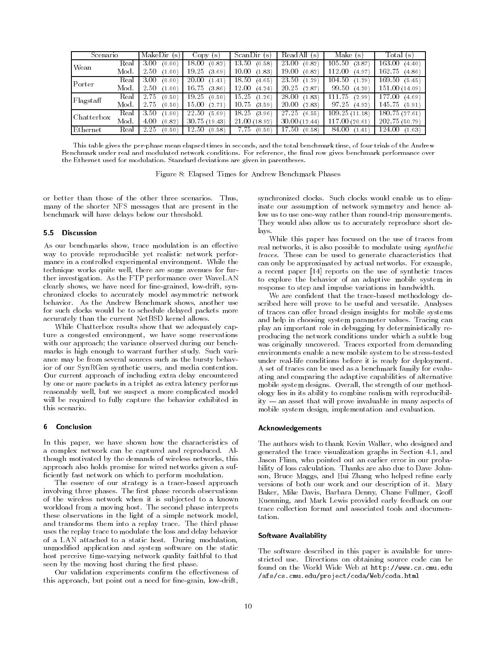| Scenario   |      | MakeDir (<br>l s l | Copy<br>$\left( s\right)$ | ScanDir<br>l S.  | ReadAll<br>$\overline{S}$ | Make (s)         | Total(s)         |
|------------|------|--------------------|---------------------------|------------------|---------------------------|------------------|------------------|
| Wean       | Real | 3.00<br>(0.00)     | 18.00<br>(0.82)           | 13.50<br>(0.58)  | 23.00<br>(0.82)           | 105.50<br>(3.87) | 163.00<br>(4.40) |
|            | Mod. | 2.50<br>(1.00)     | 19.25<br>(3.69)           | 10.00<br>(1.83)  | 19.00<br>(0.82)           | 112.00<br>(4.97) | 162.75<br>(4.86) |
| Porter     | Real | 3.00<br>(0.00)     | 20.00<br>(1.41)           | 18.50<br>(4.65)  | 23.50<br>(1.29)           | 104.50<br>(1.29) | 169.50<br>(5.45) |
|            | Mod. | 2.50<br>(1.00)     | 16.75<br>(3.86)           | 12.00<br>(4.24)  | 20.25<br>(2.87)           | 99.50<br>(4.20)  | 151.00(14.09)    |
| Flagstaff  | Real | 2.75<br>(0.50)     | 19.25<br>(0.50)           | 15.25<br>(1.26)  | 28.00<br>(1.83)           | 111.75<br>(2.99) | 177.00<br>(4.69) |
|            | Mod. | 2.75<br>(0.50)     | 15.00<br>(2.71)           | 10.75<br>(3.59)  | 20.00<br>(2.83)           | 97.25<br>(4.92)  | 145.75<br>(5.91) |
| Chatterbox | Real | 3.50<br>(1.00)     | 22.50<br>(5.69)           | 18.25<br>(3.96)  | 27.25<br>(6.55)           | 109.25(11.18)    | 180.75 (27.61)   |
|            | Mod. | 4.00<br>(0.82)     | 30.75(19.43)              | 21.00<br>(18.92) | 30.00(12.44)              | 117.00(20.61)    | 202.75 (50.79)   |
| Ethernet   | Real | 2.25<br>(0.50)     | 12.50<br>(0.58)           | 7.75<br>(0.50)   | 17.50<br>(0.58)           | 84.00<br>(1.41)  | 124.00<br>(1.63) |

This table gives the per-phase mean elapsed times in seconds, and the total benchmark time, of four trials of the Andrew Benchmark under real and modulated network conditions. For reference, the final row gives benchmark performance over the Ethernet used for modulation. Standard deviations are given in parentheses.

Figure 8: Elapsed Times for Andrew Benchmark Phases

or better than those of the other three scenarios. Thus, many of the shorter NFS messages that are present in the benchmark will have delays below our threshold.

#### 55 **Discussion**

As our benchmarks show, trace modulation is an effective way to provide reproducible yet realistic network performance in a controlled experimental environment. While the technique works quite well, there are some avenues for further investigation. As the FTP performance over WaveLAN clearly shows, we have need for fine-grained, low-drift, synchronized clocks to accurately model asymmetric network behavior. As the Andrew Benchmark shows, another use for such clocks would be to schedule delayed packets more accurately than the current NetBSD kernel allows.

While Chatterbox results show that we adequately capture a congested environment, we have some reservations with our approach; the variance observed during our benchmarks is high enough to warrant further study. Such variance may be from several sources such as the bursty behavior of our SynRGen synthetic users, and media contention. Our current approach of including extra delay encountered by one or more packets in a triplet as extra latency performs reasonably well, but we suspect a more complicated model will be required to fully capture the behavior exhibited in this scenario.

#### 6 **Conclusion**

In this paper, we have shown how the characteristics of a complex network can be captured and reproduced. Although motivated by the demands of wireless networks, this approach also holds promise for wired networks given a suf ficiently fast network on which to perform modulation.

The essence of our strategy is a trace-based approach involving three phases. The first phase records observations of the wireless network when it is subjected to a known workload from a moving host. The second phase interprets these observations in the light of a simple network model, and transforms them into a replay trace. The third phase uses the replay trace to modulate the loss and delay behavior of a LAN attached to a static host. During modulation, unmodied application and system software on the static host perceive time-varying network quality faithful to that seen by the moving host during the first phase.

Our validation experiments confirm the effectiveness of this approach, but point out a need for fine-grain, low-drift,

synchronized clocks. Such clocks would enable us to eliminate our assumption of network symmetry and hence allow us to use one-way rather than round-trip measurements. They would also allow us to accurately reproduce short delays.

While this paper has focused on the use of traces from real networks, it is also possible to modulate using synthetic traces. These can be used to generate characteristics that can only be approximated by actual networks. For example, a recent paper [14] reports on the use of synthetic traces to explore the behavior of an adaptive mobile system in response to step and impulse variations in bandwidth.

We are confident that the trace-based methodology described here will prove to be useful and versatile. Analyses of traces can offer broad design insights for mobile systems and help in choosing system parameter values. Tracing can play an important role in debugging by deterministically reproducing the network conditions under which a subtle bug was originally uncovered. Traces exported from demanding environments enable a new mobile system to be stress-tested under real-life conditions before it is ready for deployment. A set of traces can be used as a benchmark family for evaluating and comparing the adaptive capabilities of alternative mobile system designs. Overall, the strength of our methodology lies in its ability to combine realism with reproducibil $ity$  — an asset that will prove invaluable in many aspects of mobile system design, implementation and evaluation.

### Acknowledgements

The authors wish to thank Kevin Walker, who designed and generated the trace visualization graphs in Section 4.1, and Jason Flinn, who pointed out an earlier error in our probability of loss calculation. Thanks are also due to Dave Johnson, Bruce Maggs, and Hui Zhang who helped refine early versions of both our work and our description of it. Mary Baker, Mike Davis, Barbara Denny, Chane Fullmer, Geo Kuenning, and Mark Lewis provided early feedback on our trace collection format and associated tools and documentation.

#### Software Availability

The software described in this paper is available for unrestricted use. Directions on obtaining source code can be found on the World Wide Web at http://www.cs.cmu.edu /afs/cs.cmu.edu/project/coda/Web/coda.html